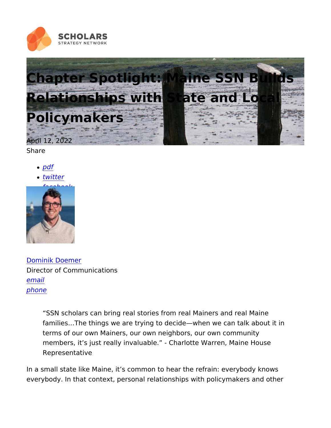## Chapter Spotlight: Maine SSN Bu Relationships with State and Loc Policymakers

April 12, 2022 Share

- [pd](https://scholars.org/print/pdf/node/22867)f
- [twitt](https://twitter.com/intent/tweet?text=Chapter+Spotlight:+Maine+SSN+Builds+Relationships+with+State+and+Local+Policymakers https://scholars.org/features/chapter-spotlight-maine-ssn-builds-relationships)er
- [facebo](https://www.facebook.com/sharer/sharer.php?u=https://scholars.org/features/chapter-spotlight-maine-ssn-builds-relationships)ok

[Dominik Doe](https://scholars.org/staff/dominik-doemer)mer Director of Communications [ema](mailto:dominik@scholarsstrategynetwork.org)il [phon](tel:617-301-2107)e

> SSN scholars can bring real stories from real Mainers and real families & The things we are trying to decide when we can talk terms of our own Mainers, our own neighbors, our own commun members, it s just really invaluable. - Charlotte Warren, Mair Representative

In a small state like Maine, it s common to hear the refrain: every everybody. In that context, personal relationships with policymak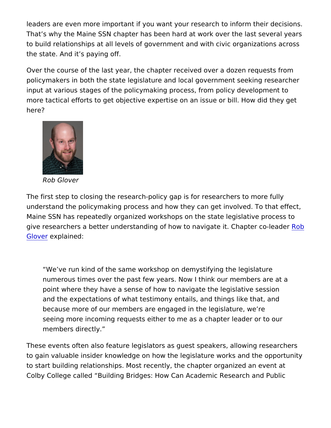leaders are even more important if you want your research to info That s why the Maine SSN chapter has been hard at work over the to build relationships at all levels of government and with civic o the state. And it s paying off.

Over the course of the last year, the chapter received over a doz policymakers in both the state legislature and local government s input at various stages of the policymaking process, from policy d more tactical efforts to get objective expertise on an issue or bil here?

Rob Glover

The first step to closing the research-policy gap is for researcher understand the policymaking process and how they can get involv Maine SSN has repeatedly organized workshops on the state legis give researchers a better understanding of how to naviga**Reob**t. Ch [Glov](https://scholars.org/scholar/robert-glover)e explained:

We ve run kind of the same workshop on demystifying the leg numerous times over the past few years. Now I think our memb point where they have a sense of how to navigate the legislati and the expectations of what testimony entails, and things lik because more of our members are engaged in the legislature, seeing more incoming requests either to me as a chapter lead members directly.

These events often also feature legislators as guest speakers, al to gain valuable insider knowledge on how the legislature works a to start building relationships. Most recently, the chapter organiz Colby College called Building Bridges: How Can Academic Resea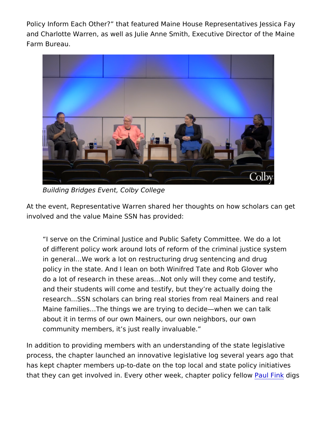Policy Inform Each Other? that featured Maine House Representa and Charlotte Warren, as well as Julie Anne Smith, Executive Dire Farm Bureau.

Building Bridges Event, Colby College

At the event, Representative Warren shared her thoughts on how involved and the value Maine SSN has provided:

I serve on the Criminal Justice and Public Safety Committee. of different policy work around lots of reform of the criminal j in general & We work a lot on restructuring drug sentencing and policy in the state. And I lean on both Winifred Tate and Rob do a lot of research in these areas&Not only will they come ar and their students will come and testify, but they re actually d research...SSN scholars can bring real stories from real Maine Maine families & The things we are trying to decide when we ca about it in terms of our own Mainers, our own neighbors, our o community members, it s just really invaluable.

In addition to providing members with an understanding of the sta process, the chapter launched an innovative legislative log sever has kept chapter members up-to-date on the top local and state p that they can get involved in. Every other week, chapul Fridoxglsicy fe